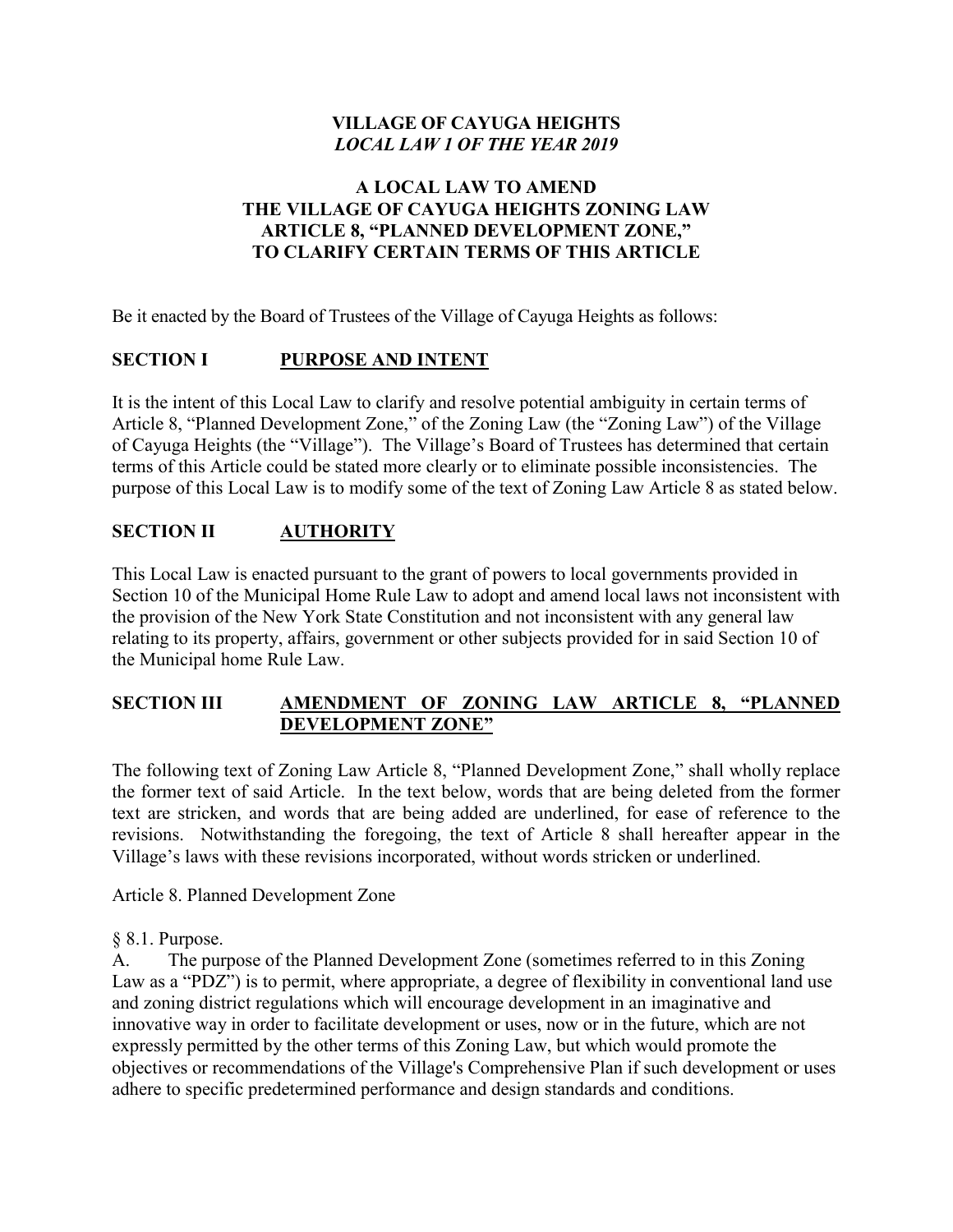## **VILLAGE OF CAYUGA HEIGHTS** *LOCAL LAW 1 OF THE YEAR 2019*

### **A LOCAL LAW TO AMEND THE VILLAGE OF CAYUGA HEIGHTS ZONING LAW ARTICLE 8, "PLANNED DEVELOPMENT ZONE," TO CLARIFY CERTAIN TERMS OF THIS ARTICLE**

Be it enacted by the Board of Trustees of the Village of Cayuga Heights as follows:

### **SECTION I PURPOSE AND INTENT**

It is the intent of this Local Law to clarify and resolve potential ambiguity in certain terms of Article 8, "Planned Development Zone," of the Zoning Law (the "Zoning Law") of the Village of Cayuga Heights (the "Village"). The Village's Board of Trustees has determined that certain terms of this Article could be stated more clearly or to eliminate possible inconsistencies. The purpose of this Local Law is to modify some of the text of Zoning Law Article 8 as stated below.

## **SECTION II AUTHORITY**

This Local Law is enacted pursuant to the grant of powers to local governments provided in Section 10 of the Municipal Home Rule Law to adopt and amend local laws not inconsistent with the provision of the New York State Constitution and not inconsistent with any general law relating to its property, affairs, government or other subjects provided for in said Section 10 of the Municipal home Rule Law.

## **SECTION III AMENDMENT OF ZONING LAW ARTICLE 8, "PLANNED DEVELOPMENT ZONE"**

The following text of Zoning Law Article 8, "Planned Development Zone," shall wholly replace the former text of said Article. In the text below, words that are being deleted from the former text are stricken, and words that are being added are underlined, for ease of reference to the revisions. Notwithstanding the foregoing, the text of Article 8 shall hereafter appear in the Village's laws with these revisions incorporated, without words stricken or underlined.

Article 8. Planned Development Zone

#### § 8.1. Purpose.

A. The purpose of the Planned Development Zone (sometimes referred to in this Zoning Law as a "PDZ") is to permit, where appropriate, a degree of flexibility in conventional land use and zoning district regulations which will encourage development in an imaginative and innovative way in order to facilitate development or uses, now or in the future, which are not expressly permitted by the other terms of this Zoning Law, but which would promote the objectives or recommendations of the Village's Comprehensive Plan if such development or uses adhere to specific predetermined performance and design standards and conditions.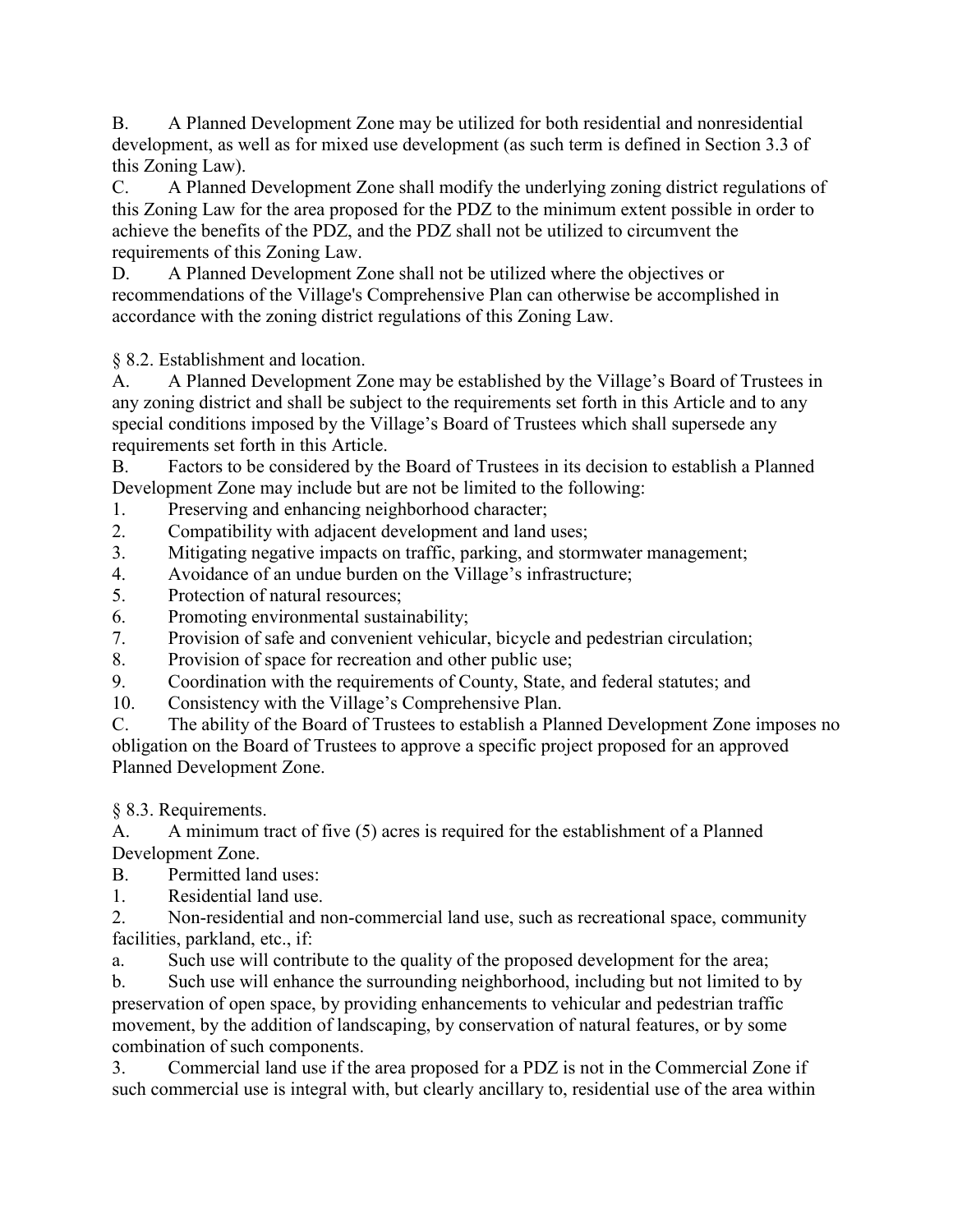B. A Planned Development Zone may be utilized for both residential and nonresidential development, as well as for mixed use development (as such term is defined in Section 3.3 of this Zoning Law).

C. A Planned Development Zone shall modify the underlying zoning district regulations of this Zoning Law for the area proposed for the PDZ to the minimum extent possible in order to achieve the benefits of the PDZ, and the PDZ shall not be utilized to circumvent the requirements of this Zoning Law.

D. A Planned Development Zone shall not be utilized where the objectives or recommendations of the Village's Comprehensive Plan can otherwise be accomplished in accordance with the zoning district regulations of this Zoning Law.

§ 8.2. Establishment and location.

A. A Planned Development Zone may be established by the Village's Board of Trustees in any zoning district and shall be subject to the requirements set forth in this Article and to any special conditions imposed by the Village's Board of Trustees which shall supersede any requirements set forth in this Article.

B. Factors to be considered by the Board of Trustees in its decision to establish a Planned Development Zone may include but are not be limited to the following:

- 1. Preserving and enhancing neighborhood character;
- 2. Compatibility with adjacent development and land uses;
- 3. Mitigating negative impacts on traffic, parking, and stormwater management;
- 4. Avoidance of an undue burden on the Village's infrastructure;
- 5. Protection of natural resources;
- 6. Promoting environmental sustainability;
- 7. Provision of safe and convenient vehicular, bicycle and pedestrian circulation;
- 8. Provision of space for recreation and other public use;
- 9. Coordination with the requirements of County, State, and federal statutes; and
- 10. Consistency with the Village's Comprehensive Plan.

C. The ability of the Board of Trustees to establish a Planned Development Zone imposes no obligation on the Board of Trustees to approve a specific project proposed for an approved Planned Development Zone.

§ 8.3. Requirements.

A. A minimum tract of five (5) acres is required for the establishment of a Planned Development Zone.

B. Permitted land uses:

1. Residential land use.

2. Non-residential and non-commercial land use, such as recreational space, community facilities, parkland, etc., if:

a. Such use will contribute to the quality of the proposed development for the area;

b. Such use will enhance the surrounding neighborhood, including but not limited to by preservation of open space, by providing enhancements to vehicular and pedestrian traffic movement, by the addition of landscaping, by conservation of natural features, or by some combination of such components.

3. Commercial land use if the area proposed for a PDZ is not in the Commercial Zone if such commercial use is integral with, but clearly ancillary to, residential use of the area within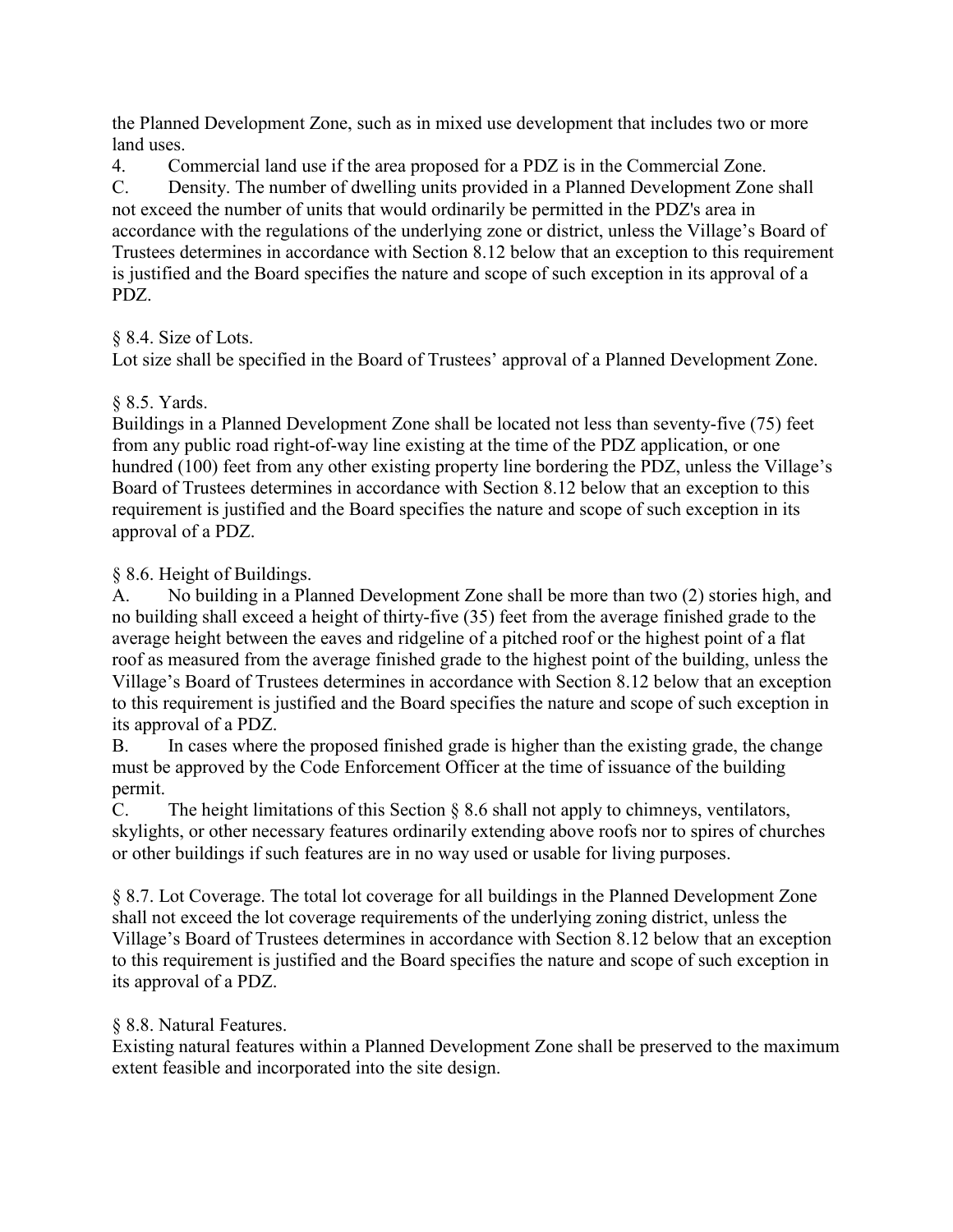the Planned Development Zone, such as in mixed use development that includes two or more land uses.

4. Commercial land use if the area proposed for a PDZ is in the Commercial Zone.

C. Density. The number of dwelling units provided in a Planned Development Zone shall not exceed the number of units that would ordinarily be permitted in the PDZ's area in accordance with the regulations of the underlying zone or district, unless the Village's Board of Trustees determines in accordance with Section 8.12 below that an exception to this requirement is justified and the Board specifies the nature and scope of such exception in its approval of a PDZ.

## § 8.4. Size of Lots.

Lot size shall be specified in the Board of Trustees' approval of a Planned Development Zone.

## § 8.5. Yards.

Buildings in a Planned Development Zone shall be located not less than seventy-five (75) feet from any public road right-of-way line existing at the time of the PDZ application, or one hundred (100) feet from any other existing property line bordering the PDZ, unless the Village's Board of Trustees determines in accordance with Section 8.12 below that an exception to this requirement is justified and the Board specifies the nature and scope of such exception in its approval of a PDZ.

§ 8.6. Height of Buildings.

A. No building in a Planned Development Zone shall be more than two (2) stories high, and no building shall exceed a height of thirty-five (35) feet from the average finished grade to the average height between the eaves and ridgeline of a pitched roof or the highest point of a flat roof as measured from the average finished grade to the highest point of the building, unless the Village's Board of Trustees determines in accordance with Section 8.12 below that an exception to this requirement is justified and the Board specifies the nature and scope of such exception in its approval of a PDZ.

B. In cases where the proposed finished grade is higher than the existing grade, the change must be approved by the Code Enforcement Officer at the time of issuance of the building permit.

C. The height limitations of this Section § 8.6 shall not apply to chimneys, ventilators, skylights, or other necessary features ordinarily extending above roofs nor to spires of churches or other buildings if such features are in no way used or usable for living purposes.

§ 8.7. Lot Coverage. The total lot coverage for all buildings in the Planned Development Zone shall not exceed the lot coverage requirements of the underlying zoning district, unless the Village's Board of Trustees determines in accordance with Section 8.12 below that an exception to this requirement is justified and the Board specifies the nature and scope of such exception in its approval of a PDZ.

### § 8.8. Natural Features.

Existing natural features within a Planned Development Zone shall be preserved to the maximum extent feasible and incorporated into the site design.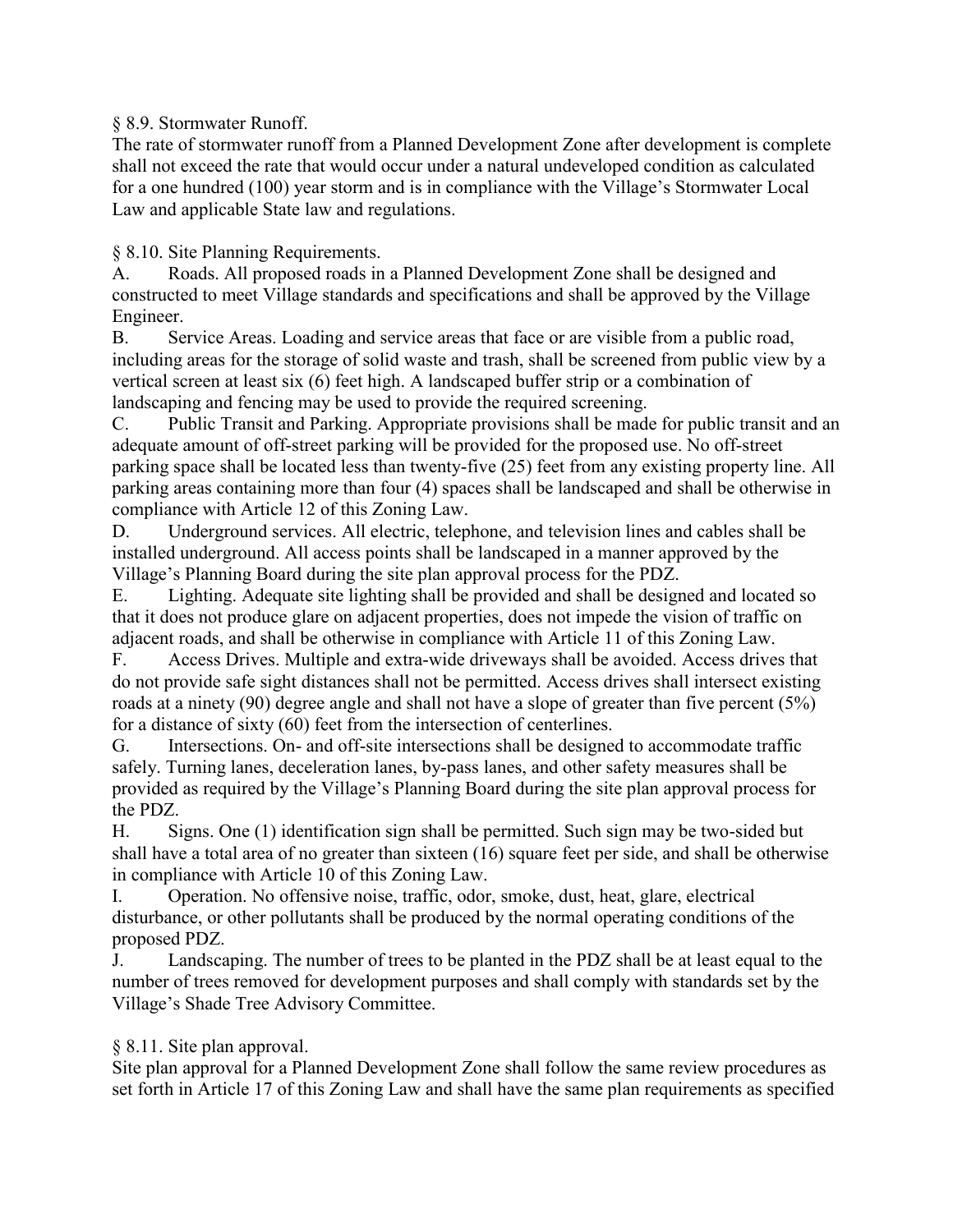### § 8.9. Stormwater Runoff.

The rate of stormwater runoff from a Planned Development Zone after development is complete shall not exceed the rate that would occur under a natural undeveloped condition as calculated for a one hundred (100) year storm and is in compliance with the Village's Stormwater Local Law and applicable State law and regulations.

§ 8.10. Site Planning Requirements.

A. Roads. All proposed roads in a Planned Development Zone shall be designed and constructed to meet Village standards and specifications and shall be approved by the Village Engineer.

B. Service Areas. Loading and service areas that face or are visible from a public road, including areas for the storage of solid waste and trash, shall be screened from public view by a vertical screen at least six (6) feet high. A landscaped buffer strip or a combination of landscaping and fencing may be used to provide the required screening.

C. Public Transit and Parking. Appropriate provisions shall be made for public transit and an adequate amount of off-street parking will be provided for the proposed use. No off-street parking space shall be located less than twenty-five (25) feet from any existing property line. All parking areas containing more than four (4) spaces shall be landscaped and shall be otherwise in compliance with Article 12 of this Zoning Law.

D. Underground services. All electric, telephone, and television lines and cables shall be installed underground. All access points shall be landscaped in a manner approved by the Village's Planning Board during the site plan approval process for the PDZ.

E. Lighting. Adequate site lighting shall be provided and shall be designed and located so that it does not produce glare on adjacent properties, does not impede the vision of traffic on adjacent roads, and shall be otherwise in compliance with Article 11 of this Zoning Law.

F. Access Drives. Multiple and extra-wide driveways shall be avoided. Access drives that do not provide safe sight distances shall not be permitted. Access drives shall intersect existing roads at a ninety (90) degree angle and shall not have a slope of greater than five percent (5%) for a distance of sixty (60) feet from the intersection of centerlines.

G. Intersections. On- and off-site intersections shall be designed to accommodate traffic safely. Turning lanes, deceleration lanes, by-pass lanes, and other safety measures shall be provided as required by the Village's Planning Board during the site plan approval process for the PDZ.

H. Signs. One (1) identification sign shall be permitted. Such sign may be two-sided but shall have a total area of no greater than sixteen (16) square feet per side, and shall be otherwise in compliance with Article 10 of this Zoning Law.

I. Operation. No offensive noise, traffic, odor, smoke, dust, heat, glare, electrical disturbance, or other pollutants shall be produced by the normal operating conditions of the proposed PDZ.

J. Landscaping. The number of trees to be planted in the PDZ shall be at least equal to the number of trees removed for development purposes and shall comply with standards set by the Village's Shade Tree Advisory Committee.

## § 8.11. Site plan approval.

Site plan approval for a Planned Development Zone shall follow the same review procedures as set forth in Article 17 of this Zoning Law and shall have the same plan requirements as specified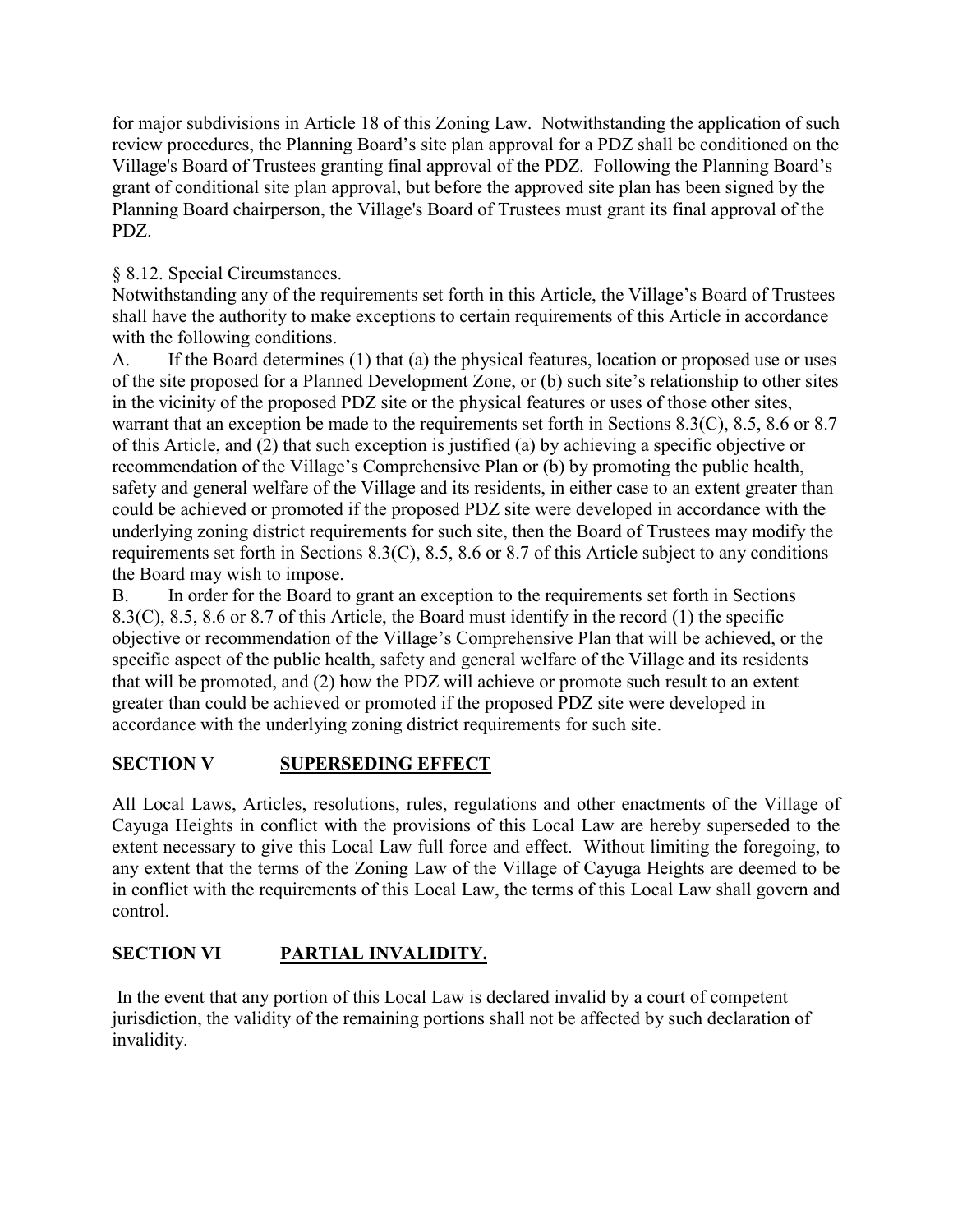for major subdivisions in Article 18 of this Zoning Law. Notwithstanding the application of such review procedures, the Planning Board's site plan approval for a PDZ shall be conditioned on the Village's Board of Trustees granting final approval of the PDZ. Following the Planning Board's grant of conditional site plan approval, but before the approved site plan has been signed by the Planning Board chairperson, the Village's Board of Trustees must grant its final approval of the PDZ.

## § 8.12. Special Circumstances.

Notwithstanding any of the requirements set forth in this Article, the Village's Board of Trustees shall have the authority to make exceptions to certain requirements of this Article in accordance with the following conditions.

A. If the Board determines (1) that (a) the physical features, location or proposed use or uses of the site proposed for a Planned Development Zone, or (b) such site's relationship to other sites in the vicinity of the proposed PDZ site or the physical features or uses of those other sites, warrant that an exception be made to the requirements set forth in Sections 8.3(C), 8.5, 8.6 or 8.7 of this Article, and (2) that such exception is justified (a) by achieving a specific objective or recommendation of the Village's Comprehensive Plan or (b) by promoting the public health, safety and general welfare of the Village and its residents, in either case to an extent greater than could be achieved or promoted if the proposed PDZ site were developed in accordance with the underlying zoning district requirements for such site, then the Board of Trustees may modify the requirements set forth in Sections 8.3(C), 8.5, 8.6 or 8.7 of this Article subject to any conditions the Board may wish to impose.

B. In order for the Board to grant an exception to the requirements set forth in Sections 8.3(C), 8.5, 8.6 or 8.7 of this Article, the Board must identify in the record (1) the specific objective or recommendation of the Village's Comprehensive Plan that will be achieved, or the specific aspect of the public health, safety and general welfare of the Village and its residents that will be promoted, and (2) how the PDZ will achieve or promote such result to an extent greater than could be achieved or promoted if the proposed PDZ site were developed in accordance with the underlying zoning district requirements for such site.

# **SECTION V SUPERSEDING EFFECT**

All Local Laws, Articles, resolutions, rules, regulations and other enactments of the Village of Cayuga Heights in conflict with the provisions of this Local Law are hereby superseded to the extent necessary to give this Local Law full force and effect. Without limiting the foregoing, to any extent that the terms of the Zoning Law of the Village of Cayuga Heights are deemed to be in conflict with the requirements of this Local Law, the terms of this Local Law shall govern and control.

# **SECTION VI PARTIAL INVALIDITY.**

In the event that any portion of this Local Law is declared invalid by a court of competent jurisdiction, the validity of the remaining portions shall not be affected by such declaration of invalidity.